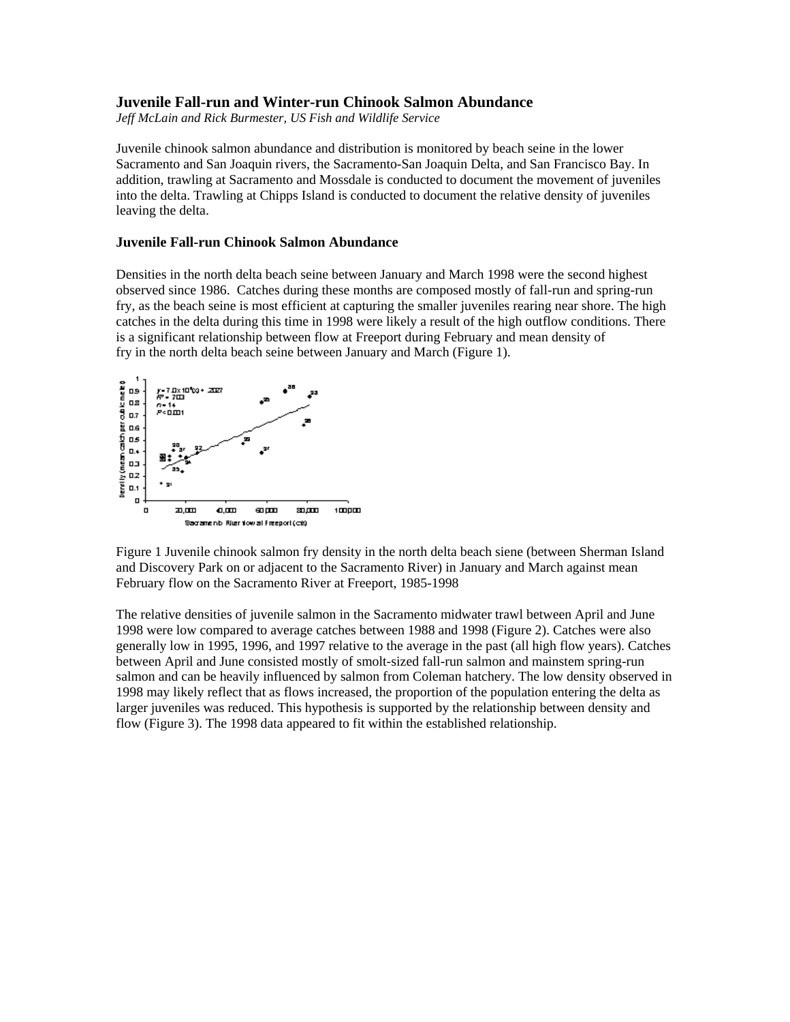## **Juvenile Fall-run and Winter-run Chinook Salmon Abundance**

*Jeff McLain and Rick Burmester, US Fish and Wildlife Service* 

Juvenile chinook salmon abundance and distribution is monitored by beach seine in the lower Sacramento and San Joaquin rivers, the Sacramento-San Joaquin Delta, and San Francisco Bay. In addition, trawling at Sacramento and Mossdale is conducted to document the movement of juveniles into the delta. Trawling at Chipps Island is conducted to document the relative density of juveniles leaving the delta.

## **Juvenile Fall-run Chinook Salmon Abundance**

Densities in the north delta beach seine between January and March 1998 were the second highest observed since 1986. Catches during these months are composed mostly of fall-run and spring-run fry, as the beach seine is most efficient at capturing the smaller juveniles rearing near shore. The high catches in the delta during this time in 1998 were likely a result of the high outflow conditions. There is a significant relationship between flow at Freeport during February and mean density of fry in the north delta beach seine between January and March (Figure 1).



Figure 1 Juvenile chinook salmon fry density in the north delta beach siene (between Sherman Island and Discovery Park on or adjacent to the Sacramento River) in January and March against mean February flow on the Sacramento River at Freeport, 1985-1998

The relative densities of juvenile salmon in the Sacramento midwater trawl between April and June 1998 were low compared to average catches between 1988 and 1998 (Figure 2). Catches were also generally low in 1995, 1996, and 1997 relative to the average in the past (all high flow years). Catches between April and June consisted mostly of smolt-sized fall-run salmon and mainstem spring-run salmon and can be heavily influenced by salmon from Coleman hatchery. The low density observed in 1998 may likely reflect that as flows increased, the proportion of the population entering the delta as larger juveniles was reduced. This hypothesis is supported by the relationship between density and flow (Figure 3). The 1998 data appeared to fit within the established relationship.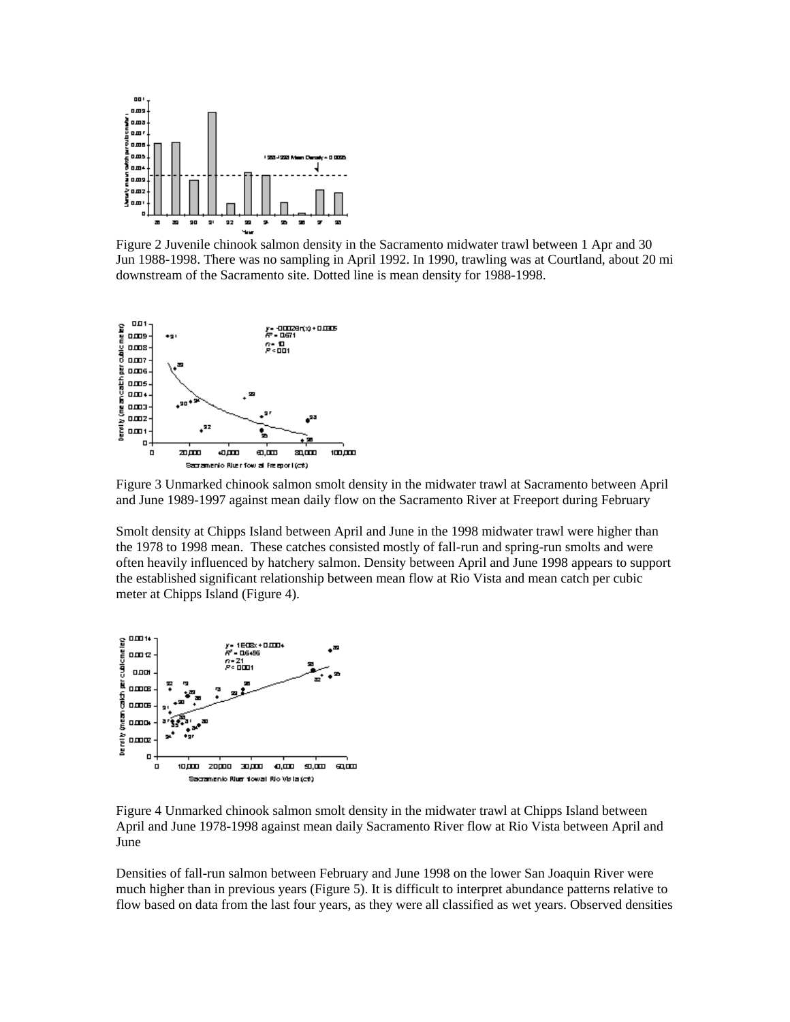

Figure 2 Juvenile chinook salmon density in the Sacramento midwater trawl between 1 Apr and 30 Jun 1988-1998. There was no sampling in April 1992. In 1990, trawling was at Courtland, about 20 mi downstream of the Sacramento site. Dotted line is mean density for 1988-1998.



Figure 3 Unmarked chinook salmon smolt density in the midwater trawl at Sacramento between April and June 1989-1997 against mean daily flow on the Sacramento River at Freeport during February

Smolt density at Chipps Island between April and June in the 1998 midwater trawl were higher than the 1978 to 1998 mean. These catches consisted mostly of fall-run and spring-run smolts and were often heavily influenced by hatchery salmon. Density between April and June 1998 appears to support the established significant relationship between mean flow at Rio Vista and mean catch per cubic meter at Chipps Island (Figure 4).



Figure 4 Unmarked chinook salmon smolt density in the midwater trawl at Chipps Island between April and June 1978-1998 against mean daily Sacramento River flow at Rio Vista between April and June

Densities of fall-run salmon between February and June 1998 on the lower San Joaquin River were much higher than in previous years (Figure 5). It is difficult to interpret abundance patterns relative to flow based on data from the last four years, as they were all classified as wet years. Observed densities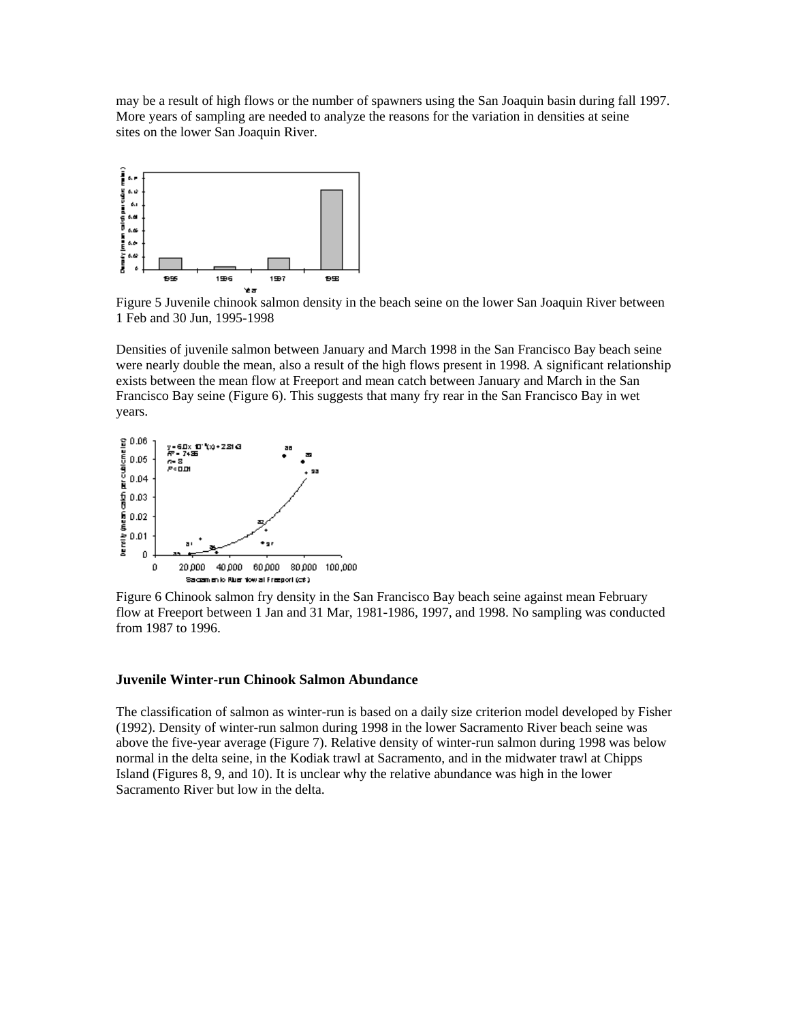may be a result of high flows or the number of spawners using the San Joaquin basin during fall 1997. More years of sampling are needed to analyze the reasons for the variation in densities at seine sites on the lower San Joaquin River.



Figure 5 Juvenile chinook salmon density in the beach seine on the lower San Joaquin River between 1 Feb and 30 Jun, 1995-1998

Densities of juvenile salmon between January and March 1998 in the San Francisco Bay beach seine were nearly double the mean, also a result of the high flows present in 1998. A significant relationship exists between the mean flow at Freeport and mean catch between January and March in the San Francisco Bay seine (Figure 6). This suggests that many fry rear in the San Francisco Bay in wet years.



Figure 6 Chinook salmon fry density in the San Francisco Bay beach seine against mean February flow at Freeport between 1 Jan and 31 Mar, 1981-1986, 1997, and 1998. No sampling was conducted from 1987 to 1996.

## **Juvenile Winter-run Chinook Salmon Abundance**

The classification of salmon as winter-run is based on a daily size criterion model developed by Fisher (1992). Density of winter-run salmon during 1998 in the lower Sacramento River beach seine was above the five-year average (Figure 7). Relative density of winter-run salmon during 1998 was below normal in the delta seine, in the Kodiak trawl at Sacramento, and in the midwater trawl at Chipps Island (Figures 8, 9, and 10). It is unclear why the relative abundance was high in the lower Sacramento River but low in the delta.